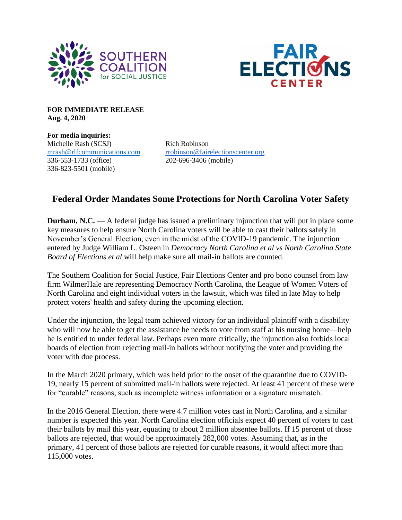



**FOR IMMEDIATE RELEASE Aug. 4, 2020**

**For media inquiries:** Michelle Rash (SCSJ) Rich Robinson 336-553-1733 (office) 202-696-3406 (mobile) 336-823-5501 (mobile)

[mrash@rlfcommunications.com](mailto:mrash@rlfcommunications.com) [rrobinson@fairelectionscenter.org](mailto:rrobinson@fairelectionscenter.org)

## **Federal Order Mandates Some Protections for North Carolina Voter Safety**

**Durham, N.C.** — A federal judge has issued a preliminary injunction that will put in place some key measures to help ensure North Carolina voters will be able to cast their ballots safely in November's General Election, even in the midst of the COVID-19 pandemic. The injunction entered by Judge William L. Osteen in *Democracy North Carolina et al vs North Carolina State Board of Elections et al* will help make sure all mail-in ballots are counted.

The Southern Coalition for Social Justice, Fair Elections Center and pro bono counsel from law firm WilmerHale are representing Democracy North Carolina, the League of Women Voters of North Carolina and eight individual voters in the lawsuit, which was filed in late May to help protect voters' health and safety during the upcoming election.

Under the injunction, the legal team achieved victory for an individual plaintiff with a disability who will now be able to get the assistance he needs to vote from staff at his nursing home—help he is entitled to under federal law. Perhaps even more critically, the injunction also forbids local boards of election from rejecting mail-in ballots without notifying the voter and providing the voter with due process.

In the March 2020 primary, which was held prior to the onset of the quarantine due to COVID-19, nearly 15 percent of submitted mail-in ballots were rejected. At least 41 percent of these were for "curable" reasons, such as incomplete witness information or a signature mismatch.

In the 2016 General Election, there were 4.7 million votes cast in North Carolina, and a similar number is expected this year. North Carolina election officials expect 40 percent of voters to cast their ballots by mail this year, equating to about 2 million absentee ballots. If 15 percent of those ballots are rejected, that would be approximately 282,000 votes. Assuming that, as in the primary, 41 percent of those ballots are rejected for curable reasons, it would affect more than 115,000 votes.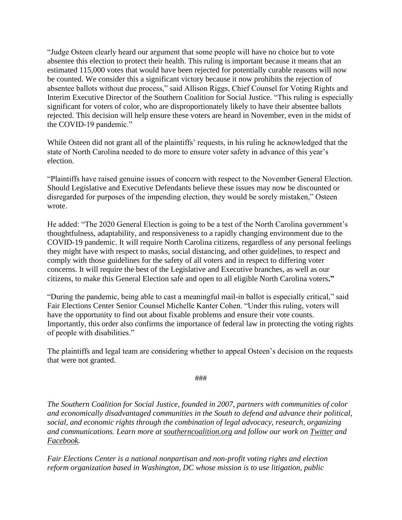"Judge Osteen clearly heard our argument that some people will have no choice but to vote absentee this election to protect their health. This ruling is important because it means that an estimated 115,000 votes that would have been rejected for potentially curable reasons will now be counted. We consider this a significant victory because it now prohibits the rejection of absentee ballots without due process," said Allison Riggs, Chief Counsel for Voting Rights and Interim Executive Director of the Southern Coalition for Social Justice. "This ruling is especially significant for voters of color, who are disproportionately likely to have their absentee ballots rejected. This decision will help ensure these voters are heard in November, even in the midst of the COVID-19 pandemic."

While Osteen did not grant all of the plaintiffs' requests, in his ruling he acknowledged that the state of North Carolina needed to do more to ensure voter safety in advance of this year's election.

"Plaintiffs have raised genuine issues of concern with respect to the November General Election. Should Legislative and Executive Defendants believe these issues may now be discounted or disregarded for purposes of the impending election, they would be sorely mistaken," Osteen wrote.

He added: "The 2020 General Election is going to be a test of the North Carolina government's thoughtfulness, adaptability, and responsiveness to a rapidly changing environment due to the COVID-19 pandemic. It will require North Carolina citizens, regardless of any personal feelings they might have with respect to masks, social distancing, and other guidelines, to respect and comply with those guidelines for the safety of all voters and in respect to differing voter concerns. It will require the best of the Legislative and Executive branches, as well as our citizens, to make this General Election safe and open to all eligible North Carolina voters**."**

"During the pandemic, being able to cast a meaningful mail-in ballot is especially critical," said Fair Elections Center Senior Counsel Michelle Kanter Cohen. "Under this ruling, voters will have the opportunity to find out about fixable problems and ensure their vote counts. Importantly, this order also confirms the importance of federal law in protecting the voting rights of people with disabilities."

The plaintiffs and legal team are considering whether to appeal Osteen's decision on the requests that were not granted.

###

*The Southern Coalition for Social Justice, founded in 2007, partners with communities of color and economically disadvantaged communities in the South to defend and advance their political, social, and economic rights through the combination of legal advocacy, research, organizing and communications. Learn more at [southerncoalition.org](https://www.southerncoalition.org/) and follow our work on [Twitter](https://twitter.com/scsj) and [Facebook.](https://www.facebook.com/southerncoalition/)*

*Fair Elections Center is a national nonpartisan and non-profit voting rights and election reform organization based in Washington, DC whose mission is to use litigation, public*